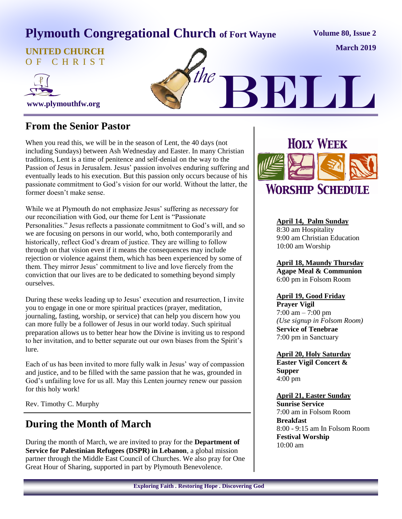# **Plymouth Congregational Church of Fort Wayne**

**Volume 80, Issue 2**

**March 2019**

**UNITED CHURCH** O F C H R I S T





#### **From the Senior Pastor**

When you read this, we will be in the season of Lent, the 40 days (not including Sundays) between Ash Wednesday and Easter. In many Christian traditions, Lent is a time of penitence and self-denial on the way to the Passion of Jesus in Jerusalem. Jesus' passion involves enduring suffering and eventually leads to his execution. But this passion only occurs because of his passionate commitment to God's vision for our world. Without the latter, the former doesn't make sense.

While we at Plymouth do not emphasize Jesus' suffering as *necessary* for our reconciliation with God, our theme for Lent is "Passionate Personalities." Jesus reflects a passionate commitment to God's will, and so we are focusing on persons in our world, who, both contemporarily and historically, reflect God's dream of justice. They are willing to follow through on that vision even if it means the consequences may include rejection or violence against them, which has been experienced by some of them. They mirror Jesus' commitment to live and love fiercely from the conviction that our lives are to be dedicated to something beyond simply ourselves.

During these weeks leading up to Jesus' execution and resurrection, I invite you to engage in one or more spiritual practices (prayer, meditation, journaling, fasting, worship, or service) that can help you discern how you can more fully be a follower of Jesus in our world today. Such spiritual preparation allows us to better hear how the Divine is inviting us to respond to her invitation, and to better separate out our own biases from the Spirit's lure.

Each of us has been invited to more fully walk in Jesus' way of compassion and justice, and to be filled with the same passion that he was, grounded in God's unfailing love for us all. May this Lenten journey renew our passion for this holy work!

Rev. Timothy C. Murphy

#### **During the Month of March**

During the month of March, we are invited to pray for the **Department of Service for Palestinian Refugees (DSPR) in Lebanon**, a global mission partner through the Middle East Council of Churches. We also pray for One Great Hour of Sharing, supported in part by Plymouth Benevolence.



#### **April 14, Palm Sunday**

8:30 am Hospitality 9:00 am Christian Education 10:00 am Worship

**April 18, Maundy Thursday Agape Meal & Communion** 6:00 pm in Folsom Room

#### **April 19, Good Friday**

**Prayer Vigil** 7:00 am – 7:00 pm *(Use signup in Folsom Room)* **Service of Tenebrae** 7:00 pm in Sanctuary

**April 20, Holy Saturday Easter Vigil Concert & Supper** 4:00 pm

#### **April 21, Easter Sunday**

**Sunrise Service** 7:00 am in Folsom Room **Breakfast**  8:00 - 9:15 am In Folsom Room **Festival Worship** 10:00 am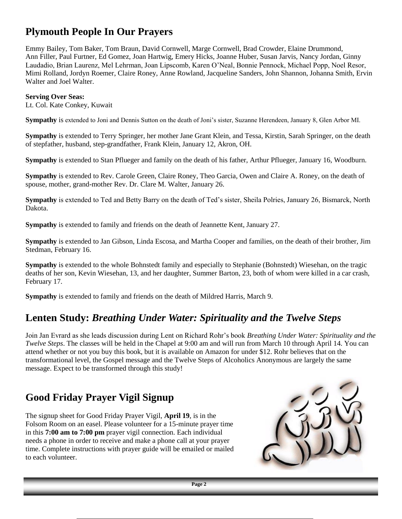#### **Plymouth People In Our Prayers**

Emmy Bailey, Tom Baker, Tom Braun, David Cornwell, Marge Cornwell, Brad Crowder, Elaine Drummond, Ann Filler, Paul Furtner, Ed Gomez, Joan Hartwig, Emery Hicks, Joanne Huber, Susan Jarvis, Nancy Jordan, Ginny Laudadio, Brian Laurenz, Mel Lehrman, Joan Lipscomb, Karen O'Neal, Bonnie Pennock, Michael Popp, Noel Resor, Mimi Rolland, Jordyn Roemer, Claire Roney, Anne Rowland, Jacqueline Sanders, John Shannon, Johanna Smith, Ervin Walter and Joel Walter.

#### **Serving Over Seas:**

Lt. Col. Kate Conkey, Kuwait

**Sympathy** is extended to Joni and Dennis Sutton on the death of Joni's sister, Suzanne Herendeen, January 8, Glen Arbor MI.

**Sympathy** is extended to Terry Springer, her mother Jane Grant Klein, and Tessa, Kirstin, Sarah Springer, on the death of stepfather, husband, step-grandfather, Frank Klein, January 12, Akron, OH.

**Sympathy** is extended to Stan Pflueger and family on the death of his father, Arthur Pflueger, January 16, Woodburn.

**Sympathy** is extended to Rev. Carole Green, Claire Roney, Theo Garcia, Owen and Claire A. Roney, on the death of spouse, mother, grand-mother Rev. Dr. Clare M. Walter, January 26.

**Sympathy** is extended to Ted and Betty Barry on the death of Ted's sister, Sheila Polries, January 26, Bismarck, North Dakota.

**Sympathy** is extended to family and friends on the death of Jeannette Kent, January 27.

**Sympathy** is extended to Jan Gibson, Linda Escosa, and Martha Cooper and families, on the death of their brother, Jim Stedman, February 16.

**Sympathy** is extended to the whole Bohnstedt family and especially to Stephanie (Bohnstedt) Wiesehan, on the tragic deaths of her son, Kevin Wiesehan, 13, and her daughter, Summer Barton, 23, both of whom were killed in a car crash, February 17.

**Sympathy** is extended to family and friends on the death of Mildred Harris, March 9.

#### **Lenten Study:** *Breathing Under Water: Spirituality and the Twelve Steps*

Join Jan Evrard as she leads discussion during Lent on Richard Rohr's book *Breathing Under Water: Spirituality and the Twelve Steps*. The classes will be held in the Chapel at 9:00 am and will run from March 10 through April 14. You can attend whether or not you buy this book, but it is available on Amazon for under \$12. Rohr believes that on the transformational level, the Gospel message and the Twelve Steps of Alcoholics Anonymous are largely the same message. Expect to be transformed through this study!

#### **Good Friday Prayer Vigil Signup**

The signup sheet for Good Friday Prayer Vigil, **April 19**, is in the Folsom Room on an easel. Please volunteer for a 15-minute prayer time in this **7:00 am to 7:00 pm** prayer vigil connection. Each individual needs a phone in order to receive and make a phone call at your prayer time. Complete instructions with prayer guide will be emailed or mailed to each volunteer.

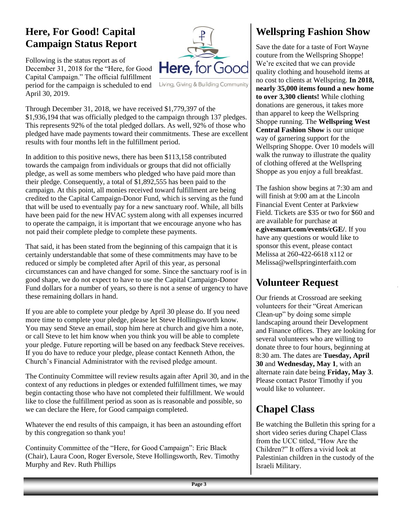### **Here, For Good! Capital Campaign Status Report**

Following is the status report as of December 31, 2018 for the "Here, for Good Capital Campaign." The official fulfillment period for the campaign is scheduled to end April 30, 2019.



Living, Giving & Building Community

Through December 31, 2018, we have received \$1,779,397 of the \$1,936,194 that was officially pledged to the campaign through 137 pledges. This represents 92% of the total pledged dollars. As well, 92% of those who pledged have made payments toward their commitments. These are excellent results with four months left in the fulfillment period.

In addition to this positive news, there has been \$113,158 contributed towards the campaign from individuals or groups that did not officially pledge, as well as some members who pledged who have paid more than their pledge. Consequently, a total of \$1,892,555 has been paid to the campaign. At this point, all monies received toward fulfillment are being credited to the Capital Campaign-Donor Fund, which is serving as the fund that will be used to eventually pay for a new sanctuary roof. While, all bills have been paid for the new HVAC system along with all expenses incurred to operate the campaign, it is important that we encourage anyone who has not paid their complete pledge to complete these payments.

That said, it has been stated from the beginning of this campaign that it is certainly understandable that some of these commitments may have to be reduced or simply be completed after April of this year, as personal circumstances can and have changed for some. Since the sanctuary roof is in good shape, we do not expect to have to use the Capital Campaign-Donor Fund dollars for a number of years, so there is not a sense of urgency to have these remaining dollars in hand.

If you are able to complete your pledge by April 30 please do. If you need more time to complete your pledge, please let Steve Hollingsworth know. You may send Steve an email, stop him here at church and give him a note, or call Steve to let him know when you think you will be able to complete your pledge. Future reporting will be based on any feedback Steve receives. If you do have to reduce your pledge, please contact Kenneth Athon, the Church's Financial Administrator with the revised pledge amount.

The Continuity Committee will review results again after April 30, and in the context of any reductions in pledges or extended fulfillment times, we may begin contacting those who have not completed their fulfillment. We would like to close the fulfillment period as soon as is reasonable and possible, so we can declare the Here, for Good campaign completed.

Whatever the end results of this campaign, it has been an astounding effort by this congregation so thank you!

Continuity Committee of the "Here, for Good Campaign": Eric Black (Chair), Laura Coon, Roger Eversole, Steve Hollingsworth, Rev. Timothy Murphy and Rev. Ruth Phillips

# **Wellspring Fashion Show**

Save the date for a taste of Fort Wayne couture from the Wellspring Shoppe! We're excited that we can provide quality clothing and household items at no cost to clients at Wellspring. **In 2018, nearly 35,000 items found a new home to over 3,300 clients!** While clothing donations are generous, it takes more than apparel to keep the Wellspring Shoppe running. The **Wellspring West Central Fashion Show** is our unique way of garnering support for the Wellspring Shoppe. Over 10 models will walk the runway to illustrate the quality of clothing offered at the Wellspring Shoppe as you enjoy a full breakfast.

The fashion show begins at 7:30 am and will finish at 9:00 am at the Lincoln Financial Event Center at Parkview Field. Tickets are \$35 or two for \$60 and are available for purchase at **e.givesmart.com/events/cGE/**. If you have any questions or would like to sponsor this event, please contact Melissa at 260-422-6618 x112 or Melissa@wellspringinterfaith.com

### **Volunteer Request**

Our friends at Crossroad are seeking volunteers for their "Great American Clean-up" by doing some simple landscaping around their Development and Finance offices. They are looking for several volunteers who are willing to donate three to four hours, beginning at 8:30 am. The dates are **Tuesday, April 30** and **Wednesday, May 1**, with an alternate rain date being **Friday, May 3**. Please contact Pastor Timothy if you would like to volunteer.

# **Chapel Class**

Be watching the Bulletin this spring for a short video series during Chapel Class from the UCC titled, "How Are the Children?" It offers a vivid look at Palestinian children in the custody of the Israeli Military.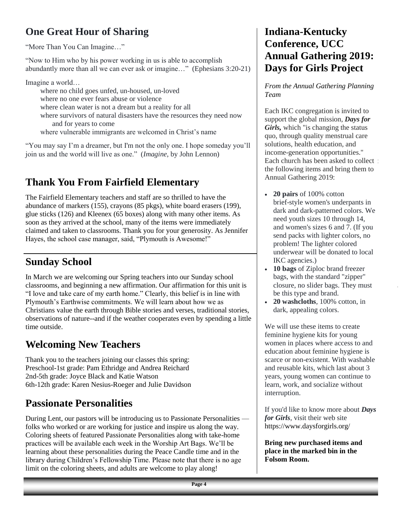# **One Great Hour of Sharing**

"More Than You Can Imagine…"

"Now to Him who by his power working in us is able to accomplish abundantly more than all we can ever ask or imagine…" (Ephesians 3:20-21)

Imagine a world…

where no child goes unfed, un-housed, un-loved where no one ever fears abuse or violence where clean water is not a dream but a reality for all where survivors of natural disasters have the resources they need now and for years to come where vulnerable immigrants are welcomed in Christ's name

"You may say I'm a dreamer, but I'm not the only one. I hope someday you'll join us and the world will live as one." (*Imagine*, by John Lennon)

# **Thank You From Fairfield Elementary**

The Fairfield Elementary teachers and staff are so thrilled to have the abundance of markers (155), crayons (85 pkgs), white board erasers (199), glue sticks (126) and Kleenex (65 boxes) along with many other items. As soon as they arrived at the school, many of the items were immediately claimed and taken to classrooms. Thank you for your generosity. As Jennifer Hayes, the school case manager, said, "Plymouth is Awesome!"

### **Sunday School**

In March we are welcoming our Spring teachers into our Sunday school classrooms, and beginning a new affirmation. Our affirmation for this unit is "I love and take care of my earth home." Clearly, this belief is in line with Plymouth's Earthwise commitments. We will learn about how we as Christians value the earth through Bible stories and verses, traditional stories, observations of nature--and if the weather cooperates even by spending a little time outside.

### **Welcoming New Teachers**

Thank you to the teachers joining our classes this spring: Preschool-1st grade: Pam Ethridge and Andrea Reichard 2nd-5th grade: Joyce Black and Katie Watson 6th-12th grade: Karen Nesius-Roeger and Julie Davidson

### **Passionate Personalities**

During Lent, our pastors will be introducing us to Passionate Personalities folks who worked or are working for justice and inspire us along the way. Coloring sheets of featured Passionate Personalities along with take-home practices will be available each week in the Worship Art Bags. We'll be learning about these personalities during the Peace Candle time and in the library during Children's Fellowship Time. Please note that there is no age limit on the coloring sheets, and adults are welcome to play along!

#### **Indiana-Kentucky Conference, UCC Annual Gathering 2019: Days for Girls Project**

*From the Annual Gathering Planning Team*

Each IKC congregation is invited to support the global mission, *[Days for](http://r20.rs6.net/tn.jsp?f=001XH78x7MH01sAIWv08hgihzXAKhC2WC47--k6sJCYmuMMu7kjUM87LeZlIXnwJAnHvS9dRAfiWd2GhjH0ZRs49S_B6ey_tHDcwOkIjDBzyX_PwKR1mN7dl-Fzkyie-zfIofHQ2s6Fpex0Nc0EwBNwcQ==&c=Nbzo9ABP6JhEJBb57NqSamtFgPA7x4LkQoJwsDJQVCrnAyGZlc6nEg==&ch=AIc-qftowg_Xy)  [Girls,](http://r20.rs6.net/tn.jsp?f=001XH78x7MH01sAIWv08hgihzXAKhC2WC47--k6sJCYmuMMu7kjUM87LeZlIXnwJAnHvS9dRAfiWd2GhjH0ZRs49S_B6ey_tHDcwOkIjDBzyX_PwKR1mN7dl-Fzkyie-zfIofHQ2s6Fpex0Nc0EwBNwcQ==&c=Nbzo9ABP6JhEJBb57NqSamtFgPA7x4LkQoJwsDJQVCrnAyGZlc6nEg==&ch=AIc-qftowg_Xy)* which "is changing the status quo, through quality menstrual care solutions, health education, and income-generation opportunities." Each church has been asked to collect the following items and bring them to Annual Gathering 2019:

- **20 pairs** of 100% cotton brief-style women's underpants in dark and dark-patterned colors. We need youth sizes 10 through 14, and women's sizes 6 and 7. (If you send packs with lighter colors, no problem! The lighter colored underwear will be donated to local IKC agencies.)
- **10 bags** of Ziploc brand freezer bags, with the standard "zipper" closure, no slider bags. They must be this type and brand.
- **20 washcloths**, 100% cotton, in dark, appealing colors.

We will use these items to create feminine hygiene kits for young women in places where access to and education about feminine hygiene is scarce or non-existent. With washable and reusable kits, which last about 3 years, young women can continue to learn, work, and socialize without interruption.

If you'd like to know more about *Days for Girls*, visit their web site [https://www.daysforgirls.org/](http://r20.rs6.net/tn.jsp?f=001XH78x7MH01sAIWv08hgihzXAKhC2WC47--k6sJCYmuMMu7kjUM87LeZlIXnwJAnHvS9dRAfiWd2GhjH0ZRs49S_B6ey_tHDcwOkIjDBzyX_PwKR1mN7dl-Fzkyie-zfIofHQ2s6Fpex0Nc0EwBNwcQ==&c=Nbzo9ABP6JhEJBb57NqSamtFgPA7x4LkQoJwsDJQVCrnAyGZlc6nEg==&ch=AIc-qftowg_Xy)

**Bring new purchased items and place in the marked bin in the Folsom Room.**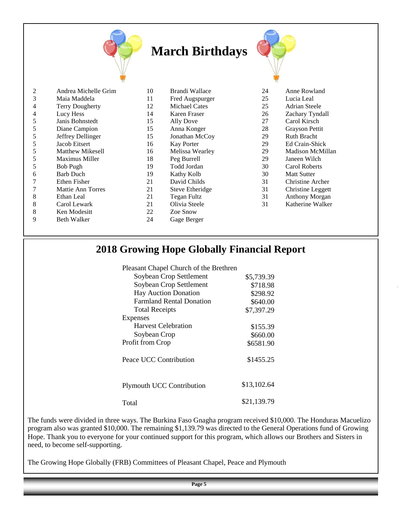|   |                      |    | <b>March Birthdays</b> |    |                      |
|---|----------------------|----|------------------------|----|----------------------|
| 2 | Andrea Michelle Grim | 10 | Brandi Wallace         | 24 | Anne Rowland         |
| 3 | Maia Maddela         | 11 | Fred Augspurger        | 25 | Lucia Leal           |
| 4 | Terry Dougherty      | 12 | Michael Cates          | 25 | <b>Adrian Steele</b> |
| 4 | Lucy Hess            | 14 | Karen Fraser           | 26 | Zachary Tyndall      |
| 5 | Janis Bohnstedt      | 15 | Ally Dove              | 27 | Carol Kirsch         |
| 5 | Diane Campion        | 15 | Anna Konger            | 28 | Grayson Pettit       |
| 5 | Jeffrey Dellinger    | 15 | Jonathan McCoy         | 29 | <b>Ruth Bracht</b>   |
| 5 | <b>Jacob Eitsert</b> | 16 | <b>Kay Porter</b>      | 29 | Ed Crain-Shick       |
| 5 | Matthew Mikesell     | 16 | Melissa Wearley        | 29 | Madison McMillan     |
| 5 | Maximus Miller       | 18 | Peg Burrell            | 29 | Janeen Wilch         |
| 5 | <b>Bob Pugh</b>      | 19 | Todd Jordan            | 30 | Carol Roberts        |
| 6 | <b>Barb Duch</b>     | 19 | Kathy Kolb             | 30 | <b>Matt Sutter</b>   |
| 7 | <b>Ethen Fisher</b>  | 21 | David Childs           | 31 | Christine Archer     |
| 7 | Mattie Ann Torres    | 21 | <b>Steve Etheridge</b> | 31 | Christine Leggett    |
| 8 | Ethan Leal           | 21 | <b>Tegan Fultz</b>     | 31 | Anthony Morgan       |
| 8 | Carol Lewark         | 21 | Olivia Steele          | 31 | Katherine Walker     |
| 8 | Ken Modesitt         | 22 | Zoe Snow               |    |                      |
| 9 | <b>Beth Walker</b>   | 24 | Gage Berger            |    |                      |

#### **2018 Growing Hope Globally Financial Report**

| Pleasant Chapel Church of the Brethren |             |
|----------------------------------------|-------------|
| Soybean Crop Settlement                | \$5,739.39  |
| Soybean Crop Settlement                | \$718.98    |
| <b>Hay Auction Donation</b>            | \$298.92    |
| <b>Farmland Rental Donation</b>        | \$640.00    |
| <b>Total Receipts</b>                  | \$7,397.29  |
| Expenses                               |             |
| <b>Harvest Celebration</b>             | \$155.39    |
| Soybean Crop                           | \$660.00    |
| Profit from Crop                       | \$6581.90   |
| Peace UCC Contribution                 | \$1455.25   |
| <b>Plymouth UCC Contribution</b>       | \$13,102.64 |
| Total                                  | \$21.139.79 |

The funds were divided in three ways. The Burkina Faso Gnagha program received \$10,000. The Honduras Macuelizo program also was granted \$10,000. The remaining \$1,139.79 was directed to the General Operations fund of Growing Hope. Thank you to everyone for your continued support for this program, which allows our Brothers and Sisters in need, to become self-supporting.

The Growing Hope Globally (FRB) Committees of Pleasant Chapel, Peace and Plymouth

**Page 5**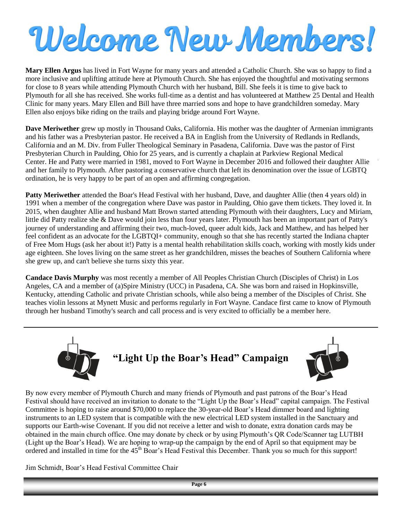# Welcome New Members!

**Mary Ellen Argus** has lived in Fort Wayne for many years and attended a Catholic Church. She was so happy to find a more inclusive and uplifting attitude here at Plymouth Church. She has enjoyed the thoughtful and motivating sermons for close to 8 years while attending Plymouth Church with her husband, Bill. She feels it is time to give back to Plymouth for all she has received. She works full-time as a dentist and has volunteered at Matthew 25 Dental and Health Clinic for many years. Mary Ellen and Bill have three married sons and hope to have grandchildren someday. Mary Ellen also enjoys bike riding on the trails and playing bridge around Fort Wayne.

**Dave Meriwether** grew up mostly in Thousand Oaks, California. His mother was the daughter of Armenian immigrants and his father was a Presbyterian pastor. He received a BA in English from the University of Redlands in Redlands, California and an M. Div. from Fuller Theological Seminary in Pasadena, California. Dave was the pastor of First Presbyterian Church in Paulding, Ohio for 25 years, and is currently a chaplain at Parkview Regional Medical Center. He and Patty were married in 1981, moved to Fort Wayne in December 2016 and followed their daughter Allie and her family to Plymouth. After pastoring a conservative church that left its denomination over the issue of LGBTQ ordination, he is very happy to be part of an open and affirming congregation.

Patty Meriwether attended the Boar's Head Festival with her husband, Dave, and daughter Allie (then 4 years old) in 1991 when a member of the congregation where Dave was pastor in Paulding, Ohio gave them tickets. They loved it. In 2015, when daughter Allie and husband Matt Brown started attending Plymouth with their daughters, Lucy and Miriam, little did Patty realize she & Dave would join less than four years later. Plymouth has been an important part of Patty's journey of understanding and affirming their two, much-loved, queer adult kids, Jack and Matthew, and has helped her feel confident as an advocate for the LGBTQI+ community, enough so that she has recently started the Indiana chapter of Free Mom Hugs (ask her about it!) Patty is a mental health rehabilitation skills coach, working with mostly kids under age eighteen. She loves living on the same street as her grandchildren, misses the beaches of Southern California where she grew up, and can't believe she turns sixty this year.

**Candace Davis Murphy** was most recently a member of All Peoples Christian Church (Disciples of Christ) in Los Angeles, CA and a member of (a)Spire Ministry (UCC) in Pasadena, CA. She was born and raised in Hopkinsville, Kentucky, attending Catholic and private Christian schools, while also being a member of the Disciples of Christ. She teaches violin lessons at Mynett Music and performs regularly in Fort Wayne. Candace first came to know of Plymouth through her husband Timothy's search and call process and is very excited to officially be a member here.



**"Light Up the Boar's Head" Campaign**



By now every member of Plymouth Church and many friends of Plymouth and past patrons of the Boar's Head Festival should have received an invitation to donate to the "Light Up the Boar's Head" capital campaign. The Festival Committee is hoping to raise around \$70,000 to replace the 30-year-old Boar's Head dimmer board and lighting instruments to an LED system that is compatible with the new electrical LED system installed in the Sanctuary and supports our Earth-wise Covenant. If you did not receive a letter and wish to donate, extra donation cards may be obtained in the main church office. One may donate by check or by using Plymouth's QR Code/Scanner tag LUTBH (Light up the Boar's Head). We are hoping to wrap-up the campaign by the end of April so that equipment may be ordered and installed in time for the 45th Boar's Head Festival this December. Thank you so much for this support!

Jim Schmidt, Boar's Head Festival Committee Chair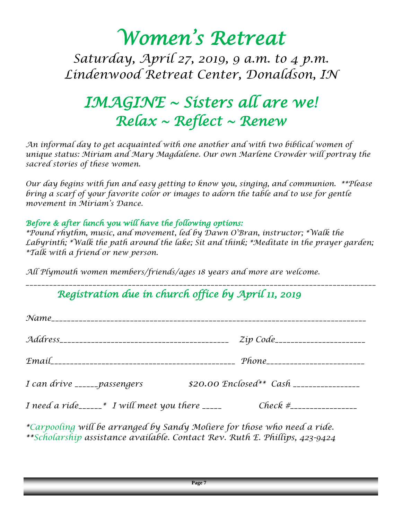# *Women's Retreat*

*Saturday, April 27, 2019, 9 a.m. to 4 p.m. Lindenwood Retreat Center, Donaldson, IN* 

# *IMAGINE ~ Sisters all are we! Relax ~ Reflect ~ Renew*

*An informal day to get acquainted with one another and with two biblical women of unique status: Miriam and Mary Magdalene. Our own Marlene Crowder will portray the sacred stories of these women.*

*Our day begins with fun and easy getting to know you, singing, and communion. \*\*Please bring a scarf of your favorite color or images to adorn the table and to use for gentle movement in Miriam's Dance.*

#### *Before & after lunch you will have the following options:*

*\*Pound rhythm, music, and movement, led by Dawn O'Bran, instructor; \*Walk the Labyrinth; \*Walk the path around the lake; Sit and think; \*Meditate in the prayer garden; \*Talk with a friend or new person.* 

*\_\_\_\_\_\_\_\_\_\_\_\_\_\_\_\_\_\_\_\_\_\_\_\_\_\_\_\_\_\_\_\_\_\_\_\_\_\_\_\_\_\_\_\_\_\_\_\_\_\_\_\_\_\_\_\_\_\_\_\_\_\_\_\_\_\_\_\_\_\_\_\_\_\_\_\_\_\_\_\_\_\_\_\_\_\_\_\_\_*

*All Plymouth women members/friends/ages 18 years and more are welcome.* 

# *Registration due in church office by April 11, 2019*

|                                                  | Zip Code_______________________                    |
|--------------------------------------------------|----------------------------------------------------|
|                                                  |                                                    |
| I can drive _____passengers                      | \$20.00 $\text{Enclosed**}$ Cash _________________ |
| I need a ride______* I will meet you there _____ |                                                    |
|                                                  |                                                    |

*\*Carpooling will be arranged by Sandy Moliere for those who need a ride. \*\*Scholarship assistance available. Contact Rev. Ruth E. Phillips, 423-9424*